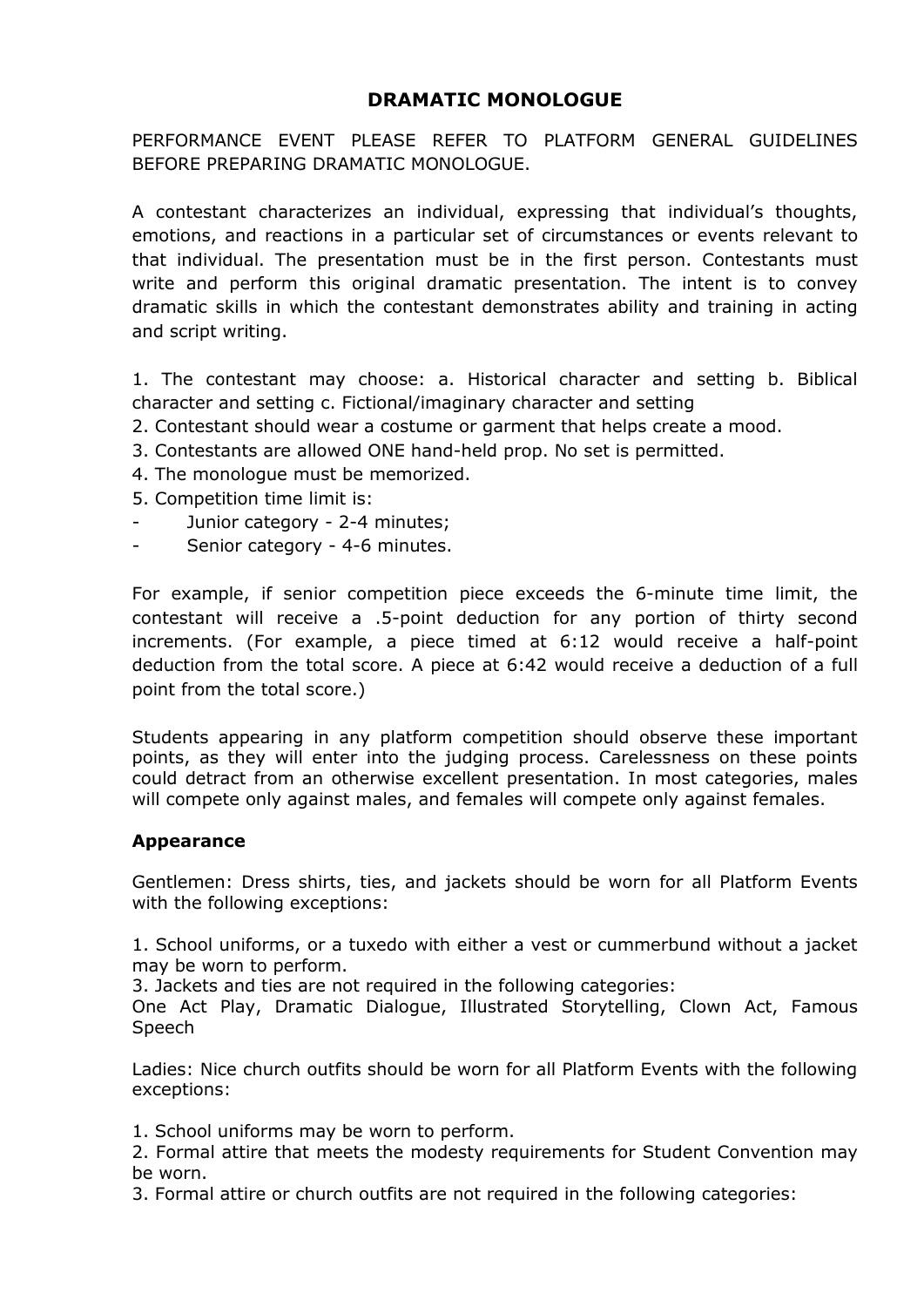# **DRAMATIC MONOLOGUE**

PERFORMANCE EVENT PLEASE REFER TO PLATFORM GENERAL GUIDELINES BEFORE PREPARING DRAMATIC MONOLOGUE.

A contestant characterizes an individual, expressing that individual's thoughts, emotions, and reactions in a particular set of circumstances or events relevant to that individual. The presentation must be in the first person. Contestants must write and perform this original dramatic presentation. The intent is to convey dramatic skills in which the contestant demonstrates ability and training in acting and script writing.

1. The contestant may choose: a. Historical character and setting b. Biblical character and setting c. Fictional/imaginary character and setting

- 2. Contestant should wear a costume or garment that helps create a mood.
- 3. Contestants are allowed ONE hand-held prop. No set is permitted.
- 4. The monologue must be memorized.
- 5. Competition time limit is:
- Junior category 2-4 minutes;
- Senior category 4-6 minutes.

For example, if senior competition piece exceeds the 6-minute time limit, the contestant will receive a .5-point deduction for any portion of thirty second increments. (For example, a piece timed at 6:12 would receive a half-point deduction from the total score. A piece at 6:42 would receive a deduction of a full point from the total score.)

Students appearing in any platform competition should observe these important points, as they will enter into the judging process. Carelessness on these points could detract from an otherwise excellent presentation. In most categories, males will compete only against males, and females will compete only against females.

## **Appearance**

Gentlemen: Dress shirts, ties, and jackets should be worn for all Platform Events with the following exceptions:

1. School uniforms, or a tuxedo with either a vest or cummerbund without a jacket may be worn to perform.

3. Jackets and ties are not required in the following categories:

One Act Play, Dramatic Dialogue, Illustrated Storytelling, Clown Act, Famous Speech

Ladies: Nice church outfits should be worn for all Platform Events with the following exceptions:

1. School uniforms may be worn to perform.

2. Formal attire that meets the modesty requirements for Student Convention may be worn.

3. Formal attire or church outfits are not required in the following categories: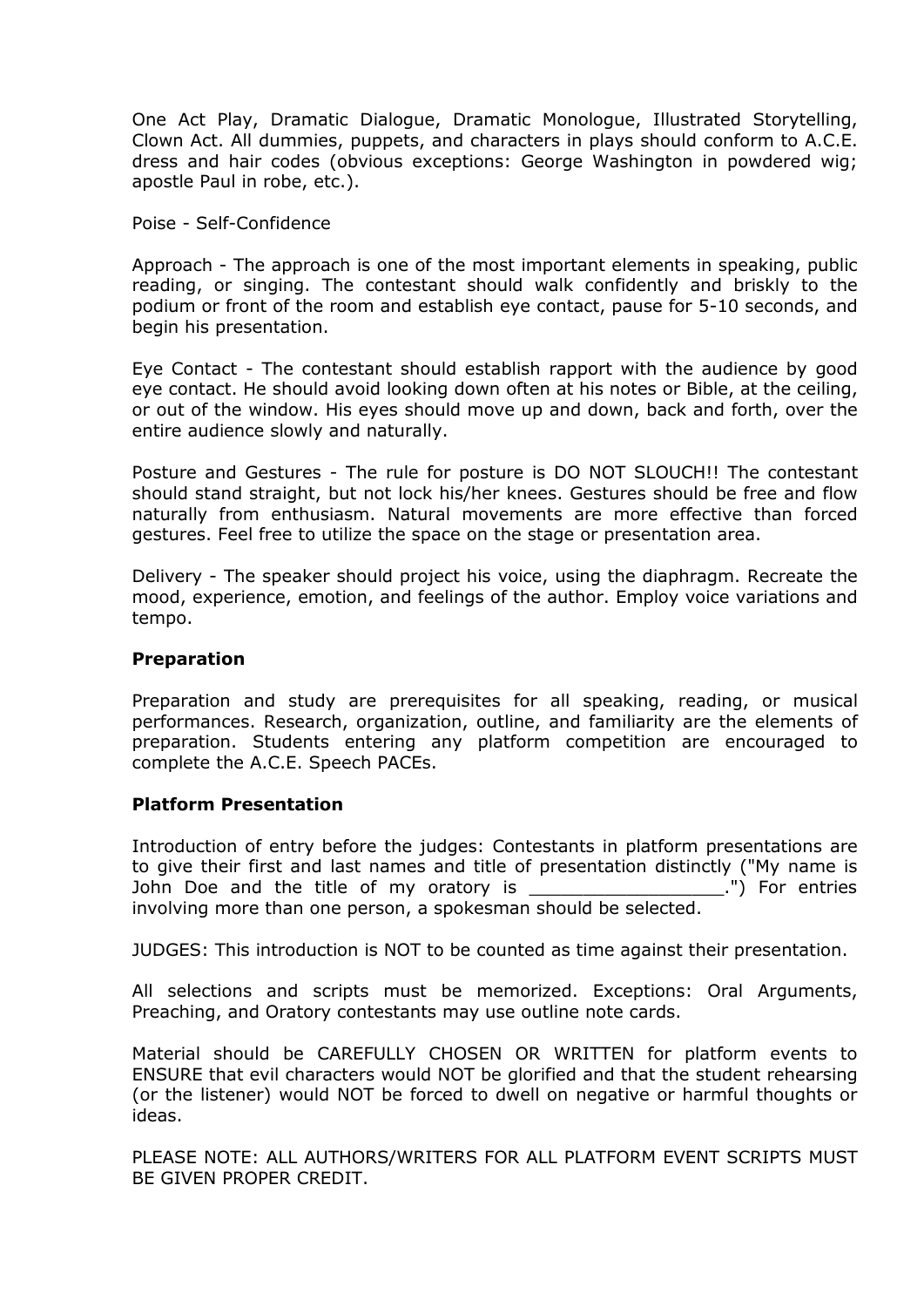One Act Play, Dramatic Dialogue, Dramatic Monologue, Illustrated Storytelling, Clown Act. All dummies, puppets, and characters in plays should conform to A.C.E. dress and hair codes (obvious exceptions: George Washington in powdered wig; apostle Paul in robe, etc.).

Poise - Self-Confidence

Approach - The approach is one of the most important elements in speaking, public reading, or singing. The contestant should walk confidently and briskly to the podium or front of the room and establish eye contact, pause for 5-10 seconds, and begin his presentation.

Eye Contact - The contestant should establish rapport with the audience by good eye contact. He should avoid looking down often at his notes or Bible, at the ceiling, or out of the window. His eyes should move up and down, back and forth, over the entire audience slowly and naturally.

Posture and Gestures - The rule for posture is DO NOT SLOUCH!! The contestant should stand straight, but not lock his/her knees. Gestures should be free and flow naturally from enthusiasm. Natural movements are more effective than forced gestures. Feel free to utilize the space on the stage or presentation area.

Delivery - The speaker should project his voice, using the diaphragm. Recreate the mood, experience, emotion, and feelings of the author. Employ voice variations and tempo.

#### **Preparation**

Preparation and study are prerequisites for all speaking, reading, or musical performances. Research, organization, outline, and familiarity are the elements of preparation. Students entering any platform competition are encouraged to complete the A.C.E. Speech PACEs.

## **Platform Presentation**

Introduction of entry before the judges: Contestants in platform presentations are to give their first and last names and title of presentation distinctly ("My name is John Doe and the title of my oratory is \_\_\_\_\_\_\_\_\_\_\_\_\_\_\_\_\_\_\_\_\_.") For entries involving more than one person, a spokesman should be selected.

JUDGES: This introduction is NOT to be counted as time against their presentation.

All selections and scripts must be memorized. Exceptions: Oral Arguments, Preaching, and Oratory contestants may use outline note cards.

Material should be CAREFULLY CHOSEN OR WRITTEN for platform events to ENSURE that evil characters would NOT be glorified and that the student rehearsing (or the listener) would NOT be forced to dwell on negative or harmful thoughts or ideas.

PLEASE NOTE: ALL AUTHORS/WRITERS FOR ALL PLATFORM EVENT SCRIPTS MUST BE GIVEN PROPER CREDIT.